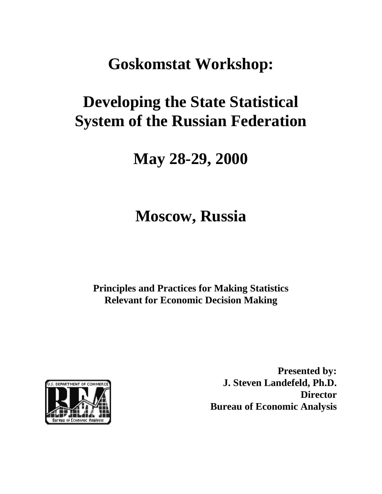### **Goskomstat Workshop:**

# **Developing the State Statistical System of the Russian Federation**

## **May 28-29, 2000**

## **Moscow, Russia**

**Principles and Practices for Making Statistics Relevant for Economic Decision Making**



**Presented by: J. Steven Landefeld, Ph.D. Director Bureau of Economic Analysis**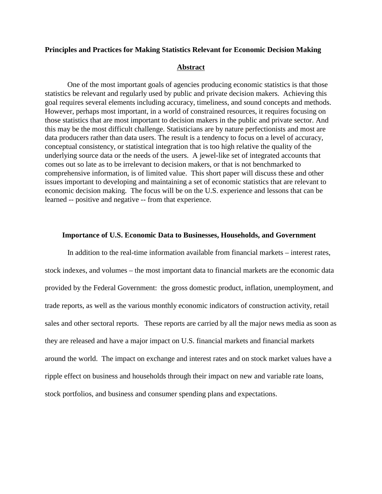### **Principles and Practices for Making Statistics Relevant for Economic Decision Making**

#### **Abstract**

One of the most important goals of agencies producing economic statistics is that those statistics be relevant and regularly used by public and private decision makers. Achieving this goal requires several elements including accuracy, timeliness, and sound concepts and methods. However, perhaps most important, in a world of constrained resources, it requires focusing on those statistics that are most important to decision makers in the public and private sector. And this may be the most difficult challenge. Statisticians are by nature perfectionists and most are data producers rather than data users. The result is a tendency to focus on a level of accuracy, conceptual consistency, or statistical integration that is too high relative the quality of the underlying source data or the needs of the users. A jewel-like set of integrated accounts that comes out so late as to be irrelevant to decision makers, or that is not benchmarked to comprehensive information, is of limited value. This short paper will discuss these and other issues important to developing and maintaining a set of economic statistics that are relevant to economic decision making. The focus will be on the U.S. experience and lessons that can be learned -- positive and negative -- from that experience.

#### **Importance of U.S. Economic Data to Businesses, Households, and Government**

In addition to the real-time information available from financial markets – interest rates, stock indexes, and volumes – the most important data to financial markets are the economic data provided by the Federal Government: the gross domestic product, inflation, unemployment, and trade reports, as well as the various monthly economic indicators of construction activity, retail sales and other sectoral reports. These reports are carried by all the major news media as soon as they are released and have a major impact on U.S. financial markets and financial markets around the world. The impact on exchange and interest rates and on stock market values have a ripple effect on business and households through their impact on new and variable rate loans, stock portfolios, and business and consumer spending plans and expectations.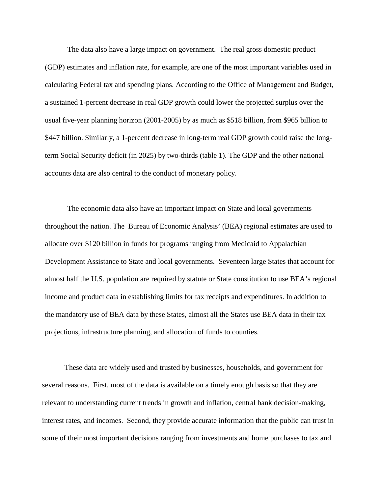The data also have a large impact on government. The real gross domestic product (GDP) estimates and inflation rate, for example, are one of the most important variables used in calculating Federal tax and spending plans. According to the Office of Management and Budget, a sustained 1-percent decrease in real GDP growth could lower the projected surplus over the usual five-year planning horizon (2001-2005) by as much as \$518 billion, from \$965 billion to \$447 billion. Similarly, a 1-percent decrease in long-term real GDP growth could raise the longterm Social Security deficit (in 2025) by two-thirds (table 1). The GDP and the other national accounts data are also central to the conduct of monetary policy.

The economic data also have an important impact on State and local governments throughout the nation. The Bureau of Economic Analysis' (BEA) regional estimates are used to allocate over \$120 billion in funds for programs ranging from Medicaid to Appalachian Development Assistance to State and local governments. Seventeen large States that account for almost half the U.S. population are required by statute or State constitution to use BEA's regional income and product data in establishing limits for tax receipts and expenditures. In addition to the mandatory use of BEA data by these States, almost all the States use BEA data in their tax projections, infrastructure planning, and allocation of funds to counties.

These data are widely used and trusted by businesses, households, and government for several reasons. First, most of the data is available on a timely enough basis so that they are relevant to understanding current trends in growth and inflation, central bank decision-making, interest rates, and incomes. Second, they provide accurate information that the public can trust in some of their most important decisions ranging from investments and home purchases to tax and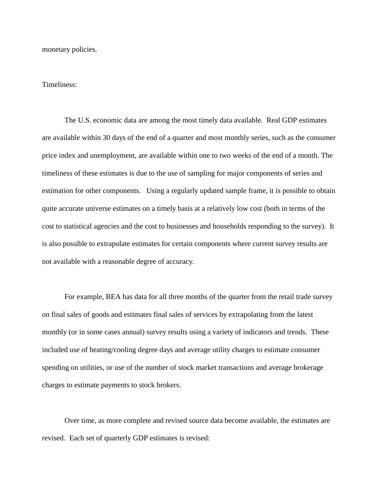monetary policies.

Timeliness:

The U.S. economic data are among the most timely data available. Real GDP estimates are available within 30 days of the end of a quarter and most monthly series, such as the consumer price index and unemployment, are available within one to two weeks of the end of a month. The timeliness of these estimates is due to the use of sampling for major components of series and estimation for other components. Using a regularly updated sample frame, it is possible to obtain quite accurate universe estimates on a timely basis at a relatively low cost (both in terms of the cost to statistical agencies and the cost to businesses and households responding to the survey). It is also possible to extrapolate estimates for certain components where current survey results are not available with a reasonable degree of accuracy.

For example, BEA has data for all three months of the quarter from the retail trade survey on final sales of goods and estimates final sales of services by extrapolating from the latest monthly (or in some cases annual) survey results using a variety of indicators and trends. These included use of heating/cooling degree days and average utility charges to estimate consumer spending on utilities, or use of the number of stock market transactions and average brokerage charges to estimate payments to stock brokers.

Over time, as more complete and revised source data become available, the estimates are revised. Each set of quarterly GDP estimates is revised: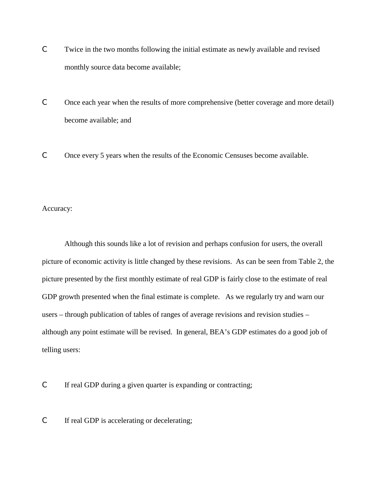- C Twice in the two months following the initial estimate as newly available and revised monthly source data become available;
- C Once each year when the results of more comprehensive (better coverage and more detail) become available; and
- C Once every 5 years when the results of the Economic Censuses become available.

### Accuracy:

Although this sounds like a lot of revision and perhaps confusion for users, the overall picture of economic activity is little changed by these revisions. As can be seen from Table 2, the picture presented by the first monthly estimate of real GDP is fairly close to the estimate of real GDP growth presented when the final estimate is complete. As we regularly try and warn our users – through publication of tables of ranges of average revisions and revision studies – although any point estimate will be revised. In general, BEA's GDP estimates do a good job of telling users:

C If real GDP during a given quarter is expanding or contracting;

### C If real GDP is accelerating or decelerating;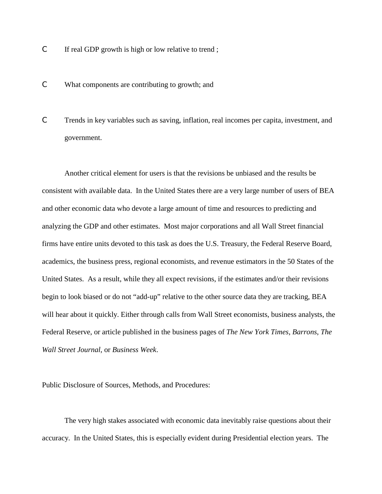- C If real GDP growth is high or low relative to trend;
- C What components are contributing to growth; and
- C Trends in key variables such as saving, inflation, real incomes per capita, investment, and government.

Another critical element for users is that the revisions be unbiased and the results be consistent with available data. In the United States there are a very large number of users of BEA and other economic data who devote a large amount of time and resources to predicting and analyzing the GDP and other estimates. Most major corporations and all Wall Street financial firms have entire units devoted to this task as does the U.S. Treasury, the Federal Reserve Board, academics, the business press, regional economists, and revenue estimators in the 50 States of the United States. As a result, while they all expect revisions, if the estimates and/or their revisions begin to look biased or do not "add-up" relative to the other source data they are tracking, BEA will hear about it quickly. Either through calls from Wall Street economists, business analysts, the Federal Reserve, or article published in the business pages of *The New York Times*, *Barrons*, *The Wall Street Journal*, or *Business Week*.

Public Disclosure of Sources, Methods, and Procedures:

The very high stakes associated with economic data inevitably raise questions about their accuracy. In the United States, this is especially evident during Presidential election years. The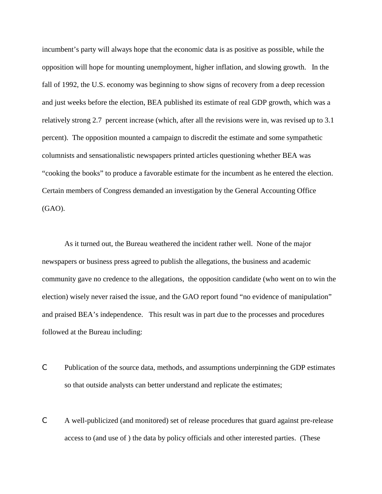incumbent's party will always hope that the economic data is as positive as possible, while the opposition will hope for mounting unemployment, higher inflation, and slowing growth. In the fall of 1992, the U.S. economy was beginning to show signs of recovery from a deep recession and just weeks before the election, BEA published its estimate of real GDP growth, which was a relatively strong 2.7 percent increase (which, after all the revisions were in, was revised up to 3.1 percent). The opposition mounted a campaign to discredit the estimate and some sympathetic columnists and sensationalistic newspapers printed articles questioning whether BEA was "cooking the books" to produce a favorable estimate for the incumbent as he entered the election. Certain members of Congress demanded an investigation by the General Accounting Office (GAO).

As it turned out, the Bureau weathered the incident rather well. None of the major newspapers or business press agreed to publish the allegations, the business and academic community gave no credence to the allegations, the opposition candidate (who went on to win the election) wisely never raised the issue, and the GAO report found "no evidence of manipulation" and praised BEA's independence. This result was in part due to the processes and procedures followed at the Bureau including:

- C Publication of the source data, methods, and assumptions underpinning the GDP estimates so that outside analysts can better understand and replicate the estimates;
- C A well-publicized (and monitored) set of release procedures that guard against pre-release access to (and use of ) the data by policy officials and other interested parties. (These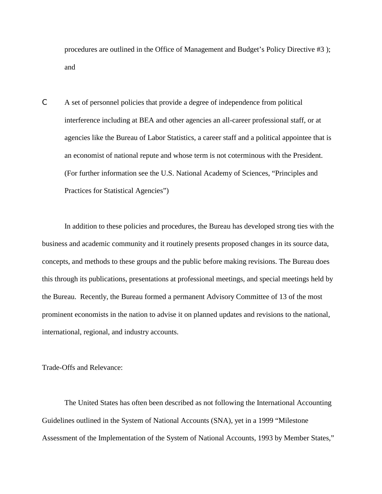procedures are outlined in the Office of Management and Budget's Policy Directive #3 ); and

C A set of personnel policies that provide a degree of independence from political interference including at BEA and other agencies an all-career professional staff, or at agencies like the Bureau of Labor Statistics, a career staff and a political appointee that is an economist of national repute and whose term is not coterminous with the President. (For further information see the U.S. National Academy of Sciences, "Principles and Practices for Statistical Agencies")

In addition to these policies and procedures, the Bureau has developed strong ties with the business and academic community and it routinely presents proposed changes in its source data, concepts, and methods to these groups and the public before making revisions. The Bureau does this through its publications, presentations at professional meetings, and special meetings held by the Bureau. Recently, the Bureau formed a permanent Advisory Committee of 13 of the most prominent economists in the nation to advise it on planned updates and revisions to the national, international, regional, and industry accounts.

Trade-Offs and Relevance:

The United States has often been described as not following the International Accounting Guidelines outlined in the System of National Accounts (SNA), yet in a 1999 "Milestone Assessment of the Implementation of the System of National Accounts, 1993 by Member States,"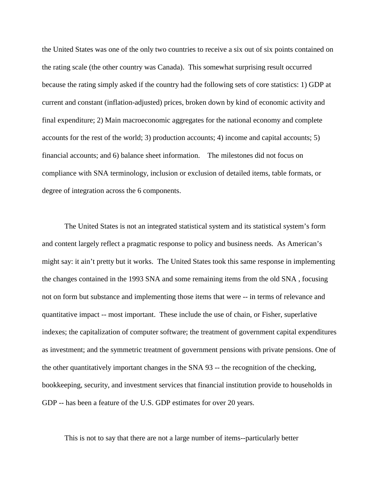the United States was one of the only two countries to receive a six out of six points contained on the rating scale (the other country was Canada). This somewhat surprising result occurred because the rating simply asked if the country had the following sets of core statistics: 1) GDP at current and constant (inflation-adjusted) prices, broken down by kind of economic activity and final expenditure; 2) Main macroeconomic aggregates for the national economy and complete accounts for the rest of the world; 3) production accounts; 4) income and capital accounts; 5) financial accounts; and 6) balance sheet information. The milestones did not focus on compliance with SNA terminology, inclusion or exclusion of detailed items, table formats, or degree of integration across the 6 components.

The United States is not an integrated statistical system and its statistical system's form and content largely reflect a pragmatic response to policy and business needs. As American's might say: it ain't pretty but it works. The United States took this same response in implementing the changes contained in the 1993 SNA and some remaining items from the old SNA , focusing not on form but substance and implementing those items that were -- in terms of relevance and quantitative impact -- most important. These include the use of chain, or Fisher, superlative indexes; the capitalization of computer software; the treatment of government capital expenditures as investment; and the symmetric treatment of government pensions with private pensions. One of the other quantitatively important changes in the SNA 93 -- the recognition of the checking, bookkeeping, security, and investment services that financial institution provide to households in GDP -- has been a feature of the U.S. GDP estimates for over 20 years.

This is not to say that there are not a large number of items--particularly better